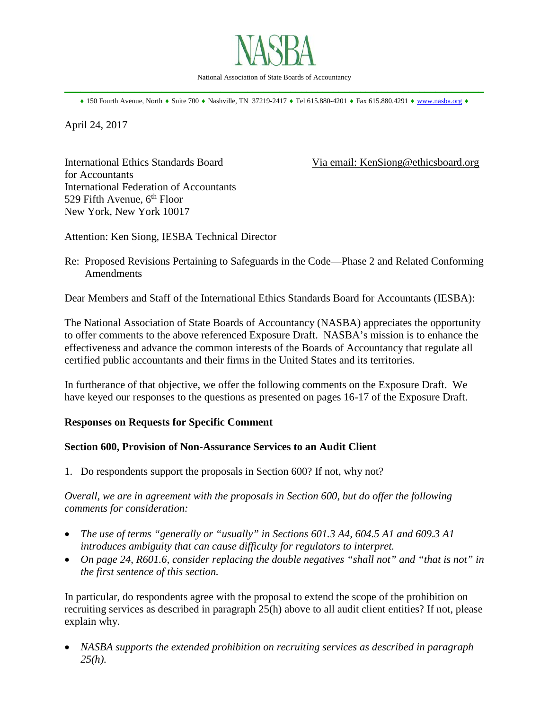

\_\_\_\_\_\_\_\_\_\_\_\_\_\_\_\_\_\_\_\_\_\_\_\_\_\_\_\_\_\_\_\_\_\_\_\_\_\_\_\_\_\_\_\_\_\_\_\_\_\_\_\_\_\_\_\_\_\_\_\_\_\_\_\_\_\_\_\_\_\_\_\_\_\_\_\_\_\_

♦ 150 Fourth Avenue, North ♦ Suite 700 ♦ Nashville, TN 37219-2417 ♦ Tel 615.880-4201 ♦ Fax 615.880.4291 ♦ [www.nasba.org](http://www.nasba.org/) ♦

April 24, 2017

for Accountants International Federation of Accountants 529 Fifth Avenue,  $6<sup>th</sup>$  Floor New York, New York 10017

International Ethics Standards Board Via email: KenSiong@ethicsboard.org

Attention: Ken Siong, IESBA Technical Director

Re: Proposed Revisions Pertaining to Safeguards in the Code—Phase 2 and Related Conforming Amendments

Dear Members and Staff of the International Ethics Standards Board for Accountants (IESBA):

The National Association of State Boards of Accountancy (NASBA) appreciates the opportunity to offer comments to the above referenced Exposure Draft. NASBA's mission is to enhance the effectiveness and advance the common interests of the Boards of Accountancy that regulate all certified public accountants and their firms in the United States and its territories.

In furtherance of that objective, we offer the following comments on the Exposure Draft. We have keyed our responses to the questions as presented on pages 16-17 of the Exposure Draft.

## **Responses on Requests for Specific Comment**

## **Section 600, Provision of Non-Assurance Services to an Audit Client**

1. Do respondents support the proposals in Section 600? If not, why not?

*Overall, we are in agreement with the proposals in Section 600, but do offer the following comments for consideration:* 

- *The use of terms "generally or "usually" in Sections 601.3 A4, 604.5 A1 and 609.3 A1 introduces ambiguity that can cause difficulty for regulators to interpret.*
- *On page 24*, *R601.6, consider replacing the double negatives "shall not" and "that is not" in the first sentence of this section.*

In particular, do respondents agree with the proposal to extend the scope of the prohibition on recruiting services as described in paragraph 25(h) above to all audit client entities? If not, please explain why.

• *NASBA supports the extended prohibition on recruiting services as described in paragraph 25(h).*